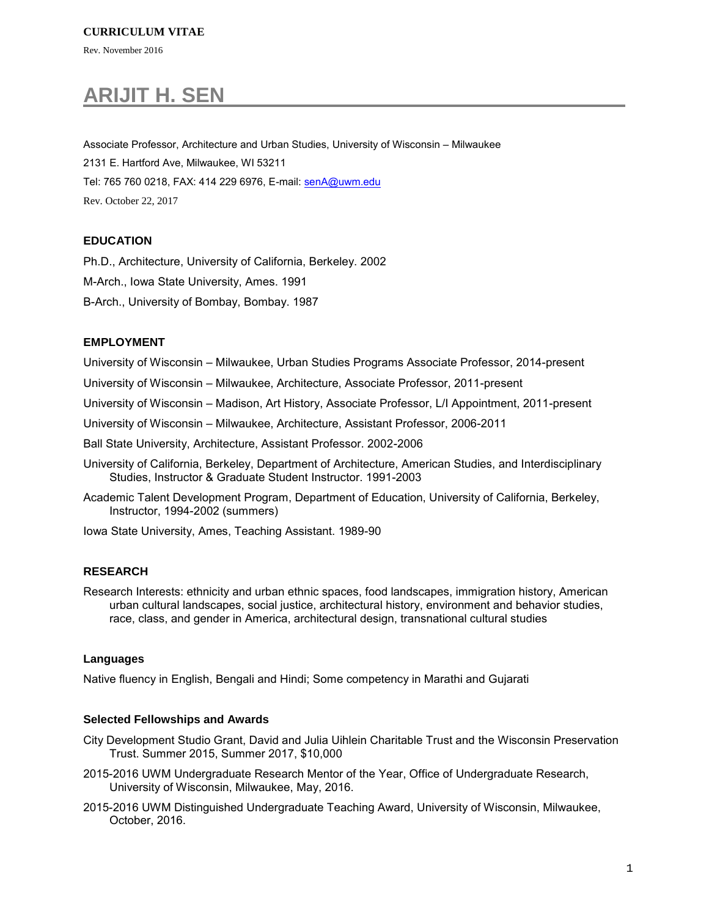Rev. November 2016

# **ARIJIT H. SEN**

Associate Professor, Architecture and Urban Studies, University of Wisconsin – Milwaukee 2131 E. Hartford Ave, Milwaukee, WI 53211 Tel: 765 760 0218, FAX: 414 229 6976, E-mail[: senA@uwm.edu](mailto:senA@uwm.edu) Rev. October 22, 2017

# **EDUCATION**

Ph.D., Architecture, University of California, Berkeley. 2002

M-Arch., Iowa State University, Ames. 1991

B-Arch., University of Bombay, Bombay. 1987

## **EMPLOYMENT**

University of Wisconsin – Milwaukee, Urban Studies Programs Associate Professor, 2014-present

University of Wisconsin – Milwaukee, Architecture, Associate Professor, 2011-present

University of Wisconsin – Madison, Art History, Associate Professor, L/I Appointment, 2011-present

University of Wisconsin – Milwaukee, Architecture, Assistant Professor, 2006-2011

Ball State University, Architecture, Assistant Professor. 2002-2006

University of California, Berkeley, Department of Architecture, American Studies, and Interdisciplinary Studies, Instructor & Graduate Student Instructor. 1991-2003

Academic Talent Development Program, Department of Education, University of California, Berkeley, Instructor, 1994-2002 (summers)

Iowa State University, Ames, Teaching Assistant. 1989-90

## **RESEARCH**

Research Interests: ethnicity and urban ethnic spaces, food landscapes, immigration history, American urban cultural landscapes, social justice, architectural history, environment and behavior studies, race, class, and gender in America, architectural design, transnational cultural studies

## **Languages**

Native fluency in English, Bengali and Hindi; Some competency in Marathi and Gujarati

## **Selected Fellowships and Awards**

- City Development Studio Grant, David and Julia Uihlein Charitable Trust and the Wisconsin Preservation Trust. Summer 2015, Summer 2017, \$10,000
- 2015-2016 UWM Undergraduate Research Mentor of the Year, Office of Undergraduate Research, University of Wisconsin, Milwaukee, May, 2016.
- 2015-2016 UWM Distinguished Undergraduate Teaching Award, University of Wisconsin, Milwaukee, October, 2016.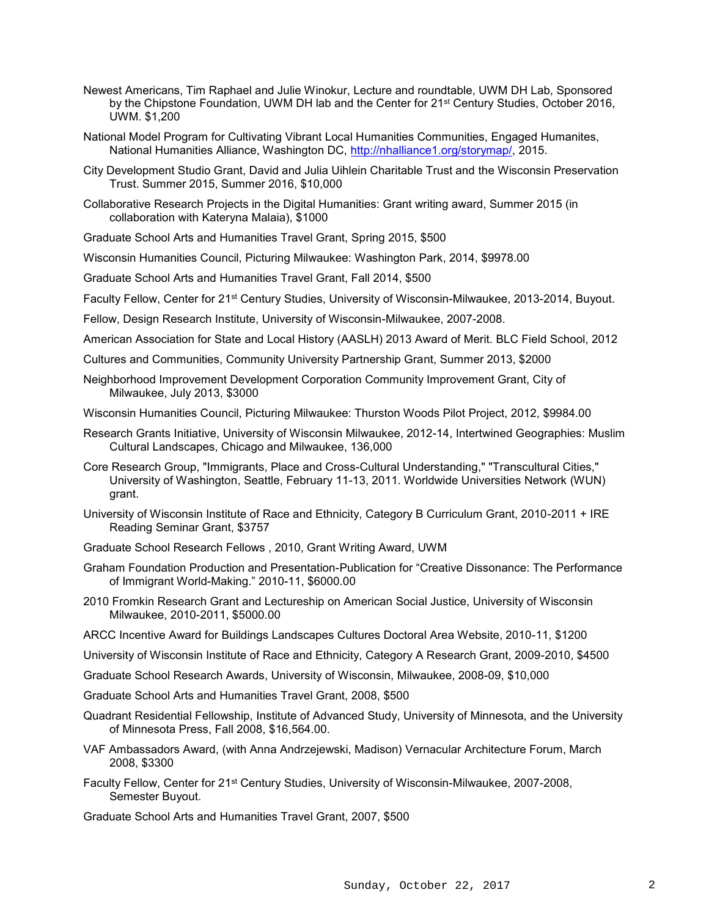- Newest Americans, Tim Raphael and Julie Winokur, Lecture and roundtable, UWM DH Lab, Sponsored by the Chipstone Foundation, UWM DH lab and the Center for 21<sup>st</sup> Century Studies, October 2016, UWM. \$1,200
- National Model Program for Cultivating Vibrant Local Humanities Communities, Engaged Humanites, National Humanities Alliance, Washington DC, [http://nhalliance1.org/storymap/,](http://nhalliance1.org/storymap/) 2015.
- City Development Studio Grant, David and Julia Uihlein Charitable Trust and the Wisconsin Preservation Trust. Summer 2015, Summer 2016, \$10,000
- Collaborative Research Projects in the Digital Humanities: Grant writing award, Summer 2015 (in collaboration with Kateryna Malaia), \$1000
- Graduate School Arts and Humanities Travel Grant, Spring 2015, \$500
- Wisconsin Humanities Council, Picturing Milwaukee: Washington Park, 2014, \$9978.00
- Graduate School Arts and Humanities Travel Grant, Fall 2014, \$500
- Faculty Fellow, Center for 21st Century Studies, University of Wisconsin-Milwaukee, 2013-2014, Buyout.
- Fellow, Design Research Institute, University of Wisconsin-Milwaukee, 2007-2008.
- American Association for State and Local History (AASLH) 2013 Award of Merit. BLC Field School, 2012
- Cultures and Communities, Community University Partnership Grant, Summer 2013, \$2000
- Neighborhood Improvement Development Corporation Community Improvement Grant, City of Milwaukee, July 2013, \$3000
- Wisconsin Humanities Council, Picturing Milwaukee: Thurston Woods Pilot Project, 2012, \$9984.00
- Research Grants Initiative, University of Wisconsin Milwaukee, 2012-14, Intertwined Geographies: Muslim Cultural Landscapes, Chicago and Milwaukee, 136,000
- Core Research Group, "Immigrants, Place and Cross-Cultural Understanding," "Transcultural Cities," University of Washington, Seattle, February 11-13, 2011. Worldwide Universities Network (WUN) grant.
- University of Wisconsin Institute of Race and Ethnicity, Category B Curriculum Grant, 2010-2011 + IRE Reading Seminar Grant, \$3757
- Graduate School Research Fellows , 2010, Grant Writing Award, UWM
- Graham Foundation Production and Presentation-Publication for "Creative Dissonance: The Performance of Immigrant World-Making." 2010-11, \$6000.00
- 2010 Fromkin Research Grant and Lectureship on American Social Justice, University of Wisconsin Milwaukee, 2010-2011, \$5000.00
- ARCC Incentive Award for Buildings Landscapes Cultures Doctoral Area Website, 2010-11, \$1200
- University of Wisconsin Institute of Race and Ethnicity, Category A Research Grant, 2009-2010, \$4500
- Graduate School Research Awards, University of Wisconsin, Milwaukee, 2008-09, \$10,000
- Graduate School Arts and Humanities Travel Grant, 2008, \$500
- Quadrant Residential Fellowship, Institute of Advanced Study, University of Minnesota, and the University of Minnesota Press, Fall 2008, \$16,564.00.
- VAF Ambassadors Award, (with Anna Andrzejewski, Madison) Vernacular Architecture Forum, March 2008, \$3300
- Faculty Fellow, Center for 21st Century Studies, University of Wisconsin-Milwaukee, 2007-2008, Semester Buyout.

Graduate School Arts and Humanities Travel Grant, 2007, \$500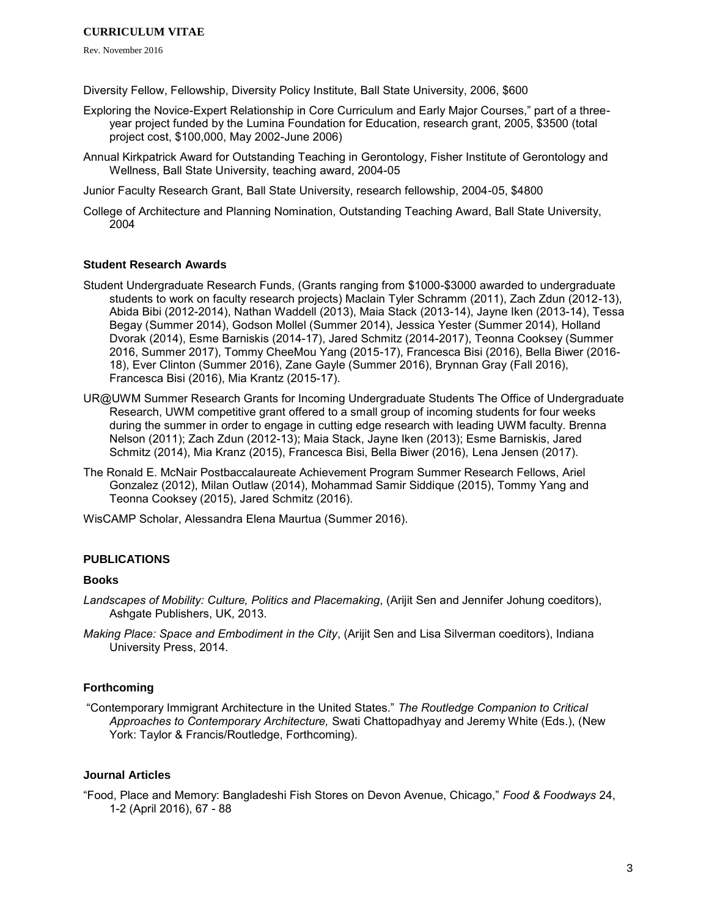Rev. November 2016

Diversity Fellow, Fellowship, Diversity Policy Institute, Ball State University, 2006, \$600

- Exploring the Novice-Expert Relationship in Core Curriculum and Early Major Courses," part of a threeyear project funded by the Lumina Foundation for Education, research grant, 2005, \$3500 (total project cost, \$100,000, May 2002-June 2006)
- Annual Kirkpatrick Award for Outstanding Teaching in Gerontology, Fisher Institute of Gerontology and Wellness, Ball State University, teaching award, 2004-05

Junior Faculty Research Grant, Ball State University, research fellowship, 2004-05, \$4800

College of Architecture and Planning Nomination, Outstanding Teaching Award, Ball State University, 2004

## **Student Research Awards**

- Student Undergraduate Research Funds, (Grants ranging from \$1000-\$3000 awarded to undergraduate students to work on faculty research projects) Maclain Tyler Schramm (2011), Zach Zdun (2012-13), Abida Bibi (2012-2014), Nathan Waddell (2013), Maia Stack (2013-14), Jayne Iken (2013-14), Tessa Begay (Summer 2014), Godson Mollel (Summer 2014), Jessica Yester (Summer 2014), Holland Dvorak (2014), Esme Barniskis (2014-17), Jared Schmitz (2014-2017), Teonna Cooksey (Summer 2016, Summer 2017), Tommy CheeMou Yang (2015-17), Francesca Bisi (2016), Bella Biwer (2016- 18), Ever Clinton (Summer 2016), Zane Gayle (Summer 2016), Brynnan Gray (Fall 2016), Francesca Bisi (2016), Mia Krantz (2015-17).
- UR@UWM Summer Research Grants for Incoming Undergraduate Students The Office of Undergraduate Research, UWM competitive grant offered to a small group of incoming students for four weeks during the summer in order to engage in cutting edge research with leading UWM faculty. Brenna Nelson (2011); Zach Zdun (2012-13); Maia Stack, Jayne Iken (2013); Esme Barniskis, Jared Schmitz (2014), Mia Kranz (2015), Francesca Bisi, Bella Biwer (2016), Lena Jensen (2017).
- The Ronald E. McNair Postbaccalaureate Achievement Program Summer Research Fellows, Ariel Gonzalez (2012), Milan Outlaw (2014), Mohammad Samir Siddique (2015), Tommy Yang and Teonna Cooksey (2015), Jared Schmitz (2016).

WisCAMP Scholar, Alessandra Elena Maurtua (Summer 2016).

# **PUBLICATIONS**

#### **Books**

- *Landscapes of Mobility: Culture, Politics and Placemaking*, (Arijit Sen and Jennifer Johung coeditors), Ashgate Publishers, UK, 2013.
- *Making Place: Space and Embodiment in the City*, (Arijit Sen and Lisa Silverman coeditors), Indiana University Press, 2014.

## **Forthcoming**

"Contemporary Immigrant Architecture in the United States." *The Routledge Companion to Critical Approaches to Contemporary Architecture,* Swati Chattopadhyay and Jeremy White (Eds.), (New York: Taylor & Francis/Routledge, Forthcoming).

## **Journal Articles**

"Food, Place and Memory: Bangladeshi Fish Stores on Devon Avenue, Chicago," *Food & Foodways* 24, 1-2 (April 2016), 67 - 88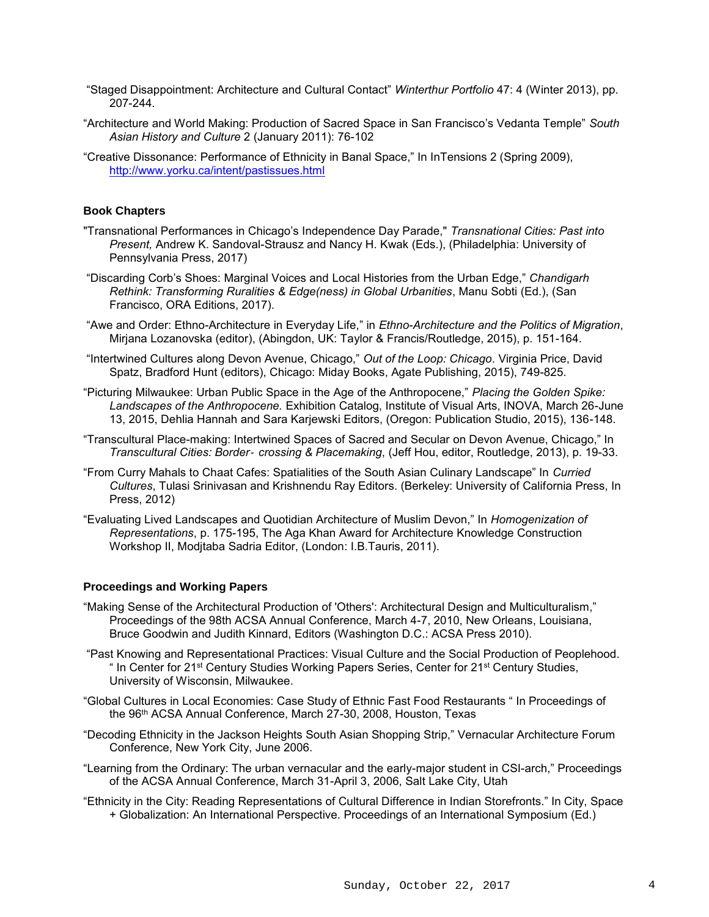- "Staged Disappointment: Architecture and Cultural Contact" *Winterthur Portfolio* 47: 4 (Winter 2013), pp. 207-244.
- "Architecture and World Making: Production of Sacred Space in San Francisco's Vedanta Temple" *South Asian History and Culture* 2 (January 2011): 76-102
- "Creative Dissonance: Performance of Ethnicity in Banal Space," In InTensions 2 (Spring 2009), <http://www.yorku.ca/intent/pastissues.html>

## **Book Chapters**

- "Transnational Performances in Chicago's Independence Day Parade," *Transnational Cities: Past into Present,* Andrew K. Sandoval-Strausz and Nancy H. Kwak (Eds.), (Philadelphia: University of Pennsylvania Press, 2017)
- "Discarding Corb's Shoes: Marginal Voices and Local Histories from the Urban Edge," *Chandigarh Rethink: Transforming Ruralities & Edge(ness) in Global Urbanities*, Manu Sobti (Ed.), (San Francisco, ORA Editions, 2017).
- "Awe and Order: Ethno-Architecture in Everyday Life," in *Ethno-Architecture and the Politics of Migration*, Mirjana Lozanovska (editor), (Abingdon, UK: Taylor & Francis/Routledge, 2015), p. 151-164.
- "Intertwined Cultures along Devon Avenue, Chicago," *Out of the Loop: Chicago*. Virginia Price, David Spatz, Bradford Hunt (editors), Chicago: Miday Books, Agate Publishing, 2015), 749-825.
- "Picturing Milwaukee: Urban Public Space in the Age of the Anthropocene," *Placing the Golden Spike: Landscapes of the Anthropocene.* Exhibition Catalog, Institute of Visual Arts, INOVA, March 26-June 13, 2015, Dehlia Hannah and Sara Karjewski Editors, (Oregon: Publication Studio, 2015), 136-148.
- "Transcultural Place-making: Intertwined Spaces of Sacred and Secular on Devon Avenue, Chicago," In *Transcultural Cities: Border*‐ *crossing & Placemaking*, (Jeff Hou, editor, Routledge, 2013), p. 19-33.
- "From Curry Mahals to Chaat Cafes: Spatialities of the South Asian Culinary Landscape" In *Curried Cultures*, Tulasi Srinivasan and Krishnendu Ray Editors. (Berkeley: University of California Press, In Press, 2012)
- "Evaluating Lived Landscapes and Quotidian Architecture of Muslim Devon," In *Homogenization of Representations*, p. 175-195, The Aga Khan Award for Architecture Knowledge Construction Workshop II, Modjtaba Sadria Editor, (London: I.B.Tauris, 2011).

## **Proceedings and Working Papers**

- "Making Sense of the Architectural Production of 'Others': Architectural Design and Multiculturalism," Proceedings of the 98th ACSA Annual Conference, March 4-7, 2010, New Orleans, Louisiana, Bruce Goodwin and Judith Kinnard, Editors (Washington D.C.: ACSA Press 2010).
- "Past Knowing and Representational Practices: Visual Culture and the Social Production of Peoplehood. " In Center for 21<sup>st</sup> Century Studies Working Papers Series, Center for 21<sup>st</sup> Century Studies, University of Wisconsin, Milwaukee.
- "Global Cultures in Local Economies: Case Study of Ethnic Fast Food Restaurants " In Proceedings of the 96th ACSA Annual Conference, March 27-30, 2008, Houston, Texas
- "Decoding Ethnicity in the Jackson Heights South Asian Shopping Strip," Vernacular Architecture Forum Conference, New York City, June 2006.
- "Learning from the Ordinary: The urban vernacular and the early-major student in CSI-arch," Proceedings of the ACSA Annual Conference, March 31-April 3, 2006, Salt Lake City, Utah
- "Ethnicity in the City: Reading Representations of Cultural Difference in Indian Storefronts." In City, Space + Globalization: An International Perspective. Proceedings of an International Symposium (Ed.)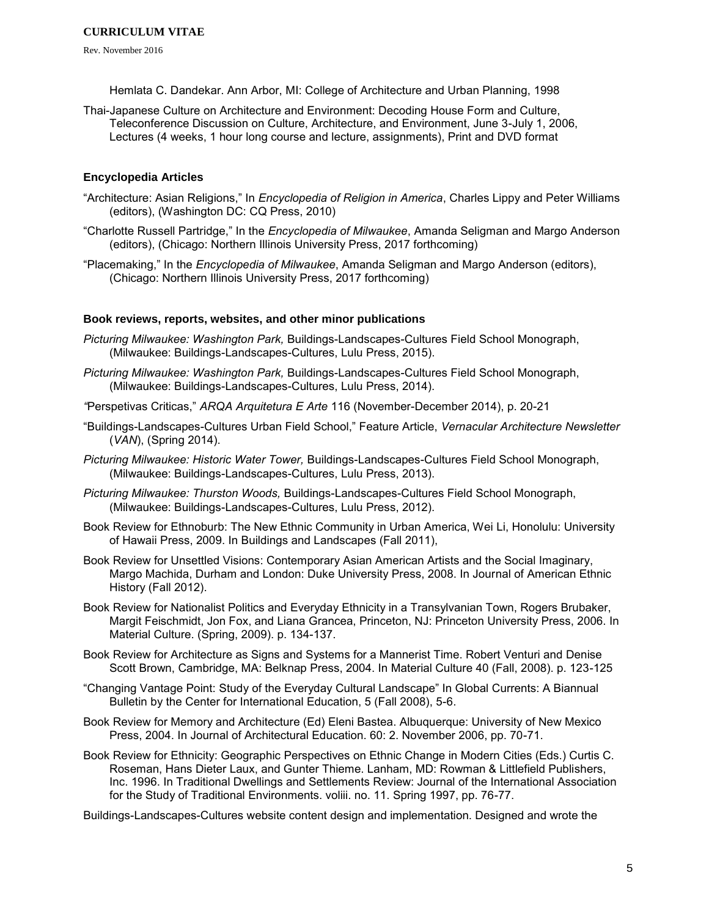Rev. November 2016

Hemlata C. Dandekar. Ann Arbor, MI: College of Architecture and Urban Planning, 1998

Thai-Japanese Culture on Architecture and Environment: Decoding House Form and Culture, Teleconference Discussion on Culture, Architecture, and Environment, June 3-July 1, 2006, Lectures (4 weeks, 1 hour long course and lecture, assignments), Print and DVD format

## **Encyclopedia Articles**

- "Architecture: Asian Religions," In *Encyclopedia of Religion in America*, Charles Lippy and Peter Williams (editors), (Washington DC: CQ Press, 2010)
- "Charlotte Russell Partridge," In the *Encyclopedia of Milwaukee*, Amanda Seligman and Margo Anderson (editors), (Chicago: Northern Illinois University Press, 2017 forthcoming)
- "Placemaking," In the *Encyclopedia of Milwaukee*, Amanda Seligman and Margo Anderson (editors), (Chicago: Northern Illinois University Press, 2017 forthcoming)

## **Book reviews, reports, websites, and other minor publications**

- *Picturing Milwaukee: Washington Park,* Buildings-Landscapes-Cultures Field School Monograph, (Milwaukee: Buildings-Landscapes-Cultures, Lulu Press, 2015).
- *Picturing Milwaukee: Washington Park,* Buildings-Landscapes-Cultures Field School Monograph, (Milwaukee: Buildings-Landscapes-Cultures, Lulu Press, 2014).
- *"*Perspetivas Criticas," *ARQA Arquitetura E Arte* 116 (November-December 2014), p. 20-21
- "Buildings-Landscapes-Cultures Urban Field School," Feature Article, *Vernacular Architecture Newsletter* (*VAN*), (Spring 2014).
- *Picturing Milwaukee: Historic Water Tower,* Buildings-Landscapes-Cultures Field School Monograph, (Milwaukee: Buildings-Landscapes-Cultures, Lulu Press, 2013).
- *Picturing Milwaukee: Thurston Woods,* Buildings-Landscapes-Cultures Field School Monograph, (Milwaukee: Buildings-Landscapes-Cultures, Lulu Press, 2012).
- Book Review for Ethnoburb: The New Ethnic Community in Urban America, Wei Li, Honolulu: University of Hawaii Press, 2009. In Buildings and Landscapes (Fall 2011),
- Book Review for Unsettled Visions: Contemporary Asian American Artists and the Social Imaginary, Margo Machida, Durham and London: Duke University Press, 2008. In Journal of American Ethnic History (Fall 2012).
- Book Review for Nationalist Politics and Everyday Ethnicity in a Transylvanian Town, Rogers Brubaker, Margit Feischmidt, Jon Fox, and Liana Grancea, Princeton, NJ: Princeton University Press, 2006. In Material Culture. (Spring, 2009). p. 134-137.
- Book Review for Architecture as Signs and Systems for a Mannerist Time. Robert Venturi and Denise Scott Brown, Cambridge, MA: Belknap Press, 2004. In Material Culture 40 (Fall, 2008). p. 123-125
- "Changing Vantage Point: Study of the Everyday Cultural Landscape" In Global Currents: A Biannual Bulletin by the Center for International Education, 5 (Fall 2008), 5-6.
- Book Review for Memory and Architecture (Ed) Eleni Bastea. Albuquerque: University of New Mexico Press, 2004. In Journal of Architectural Education. 60: 2. November 2006, pp. 70-71.
- Book Review for Ethnicity: Geographic Perspectives on Ethnic Change in Modern Cities (Eds.) Curtis C. Roseman, Hans Dieter Laux, and Gunter Thieme. Lanham, MD: Rowman & Littlefield Publishers, Inc. 1996. In Traditional Dwellings and Settlements Review: Journal of the International Association for the Study of Traditional Environments. voliii. no. 11. Spring 1997, pp. 76-77.

Buildings-Landscapes-Cultures website content design and implementation. Designed and wrote the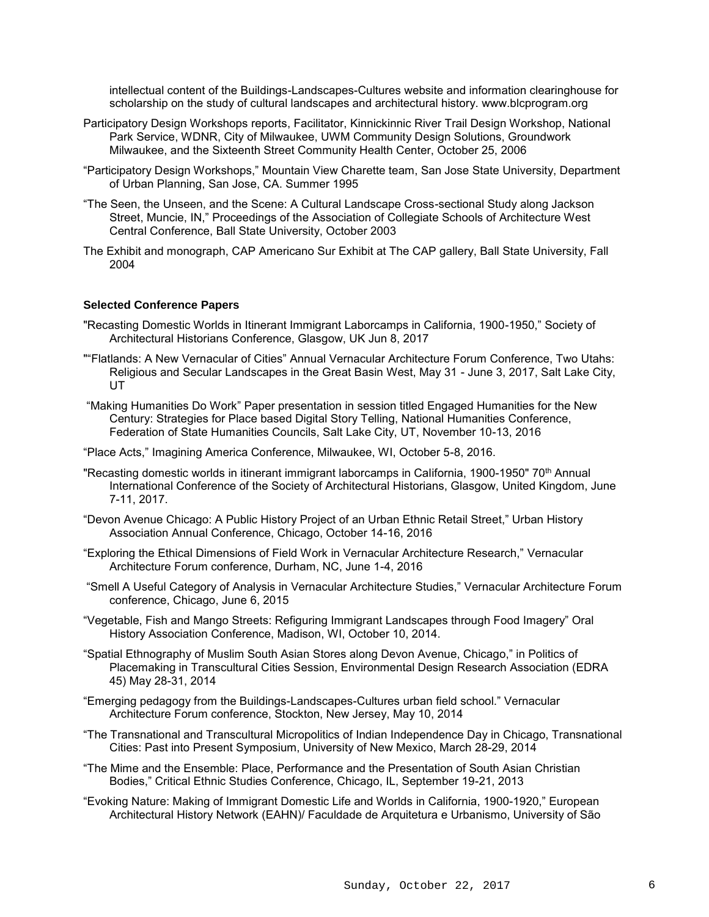intellectual content of the Buildings-Landscapes-Cultures website and information clearinghouse for scholarship on the study of cultural landscapes and architectural history. www.blcprogram.org

- Participatory Design Workshops reports, Facilitator, Kinnickinnic River Trail Design Workshop, National Park Service, WDNR, City of Milwaukee, UWM Community Design Solutions, Groundwork Milwaukee, and the Sixteenth Street Community Health Center, October 25, 2006
- "Participatory Design Workshops," Mountain View Charette team, San Jose State University, Department of Urban Planning, San Jose, CA. Summer 1995
- "The Seen, the Unseen, and the Scene: A Cultural Landscape Cross-sectional Study along Jackson Street, Muncie, IN," Proceedings of the Association of Collegiate Schools of Architecture West Central Conference, Ball State University, October 2003
- The Exhibit and monograph, CAP Americano Sur Exhibit at The CAP gallery, Ball State University, Fall 2004

## **Selected Conference Papers**

- "Recasting Domestic Worlds in Itinerant Immigrant Laborcamps in California, 1900-1950," Society of Architectural Historians Conference, Glasgow, UK Jun 8, 2017
- ""Flatlands: A New Vernacular of Cities" Annual Vernacular Architecture Forum Conference, Two Utahs: Religious and Secular Landscapes in the Great Basin West, May 31 - June 3, 2017, Salt Lake City, UT
- "Making Humanities Do Work" Paper presentation in session titled Engaged Humanities for the New Century: Strategies for Place based Digital Story Telling, National Humanities Conference, Federation of State Humanities Councils, Salt Lake City, UT, November 10-13, 2016

"Place Acts," Imagining America Conference, Milwaukee, WI, October 5-8, 2016.

- "Recasting domestic worlds in itinerant immigrant laborcamps in California, 1900-1950" 70<sup>th</sup> Annual International Conference of the Society of Architectural Historians, Glasgow, United Kingdom, June 7-11, 2017.
- "Devon Avenue Chicago: A Public History Project of an Urban Ethnic Retail Street," Urban History Association Annual Conference, Chicago, October 14-16, 2016
- "Exploring the Ethical Dimensions of Field Work in Vernacular Architecture Research," Vernacular Architecture Forum conference, Durham, NC, June 1-4, 2016
- "Smell A Useful Category of Analysis in Vernacular Architecture Studies," Vernacular Architecture Forum conference, Chicago, June 6, 2015
- "Vegetable, Fish and Mango Streets: Refiguring Immigrant Landscapes through Food Imagery" Oral History Association Conference, Madison, WI, October 10, 2014.
- "Spatial Ethnography of Muslim South Asian Stores along Devon Avenue, Chicago," in Politics of Placemaking in Transcultural Cities Session, Environmental Design Research Association (EDRA 45) May 28-31, 2014
- "Emerging pedagogy from the Buildings-Landscapes-Cultures urban field school." Vernacular Architecture Forum conference, Stockton, New Jersey, May 10, 2014
- "The Transnational and Transcultural Micropolitics of Indian Independence Day in Chicago, Transnational Cities: Past into Present Symposium, University of New Mexico, March 28-29, 2014
- "The Mime and the Ensemble: Place, Performance and the Presentation of South Asian Christian Bodies," Critical Ethnic Studies Conference, Chicago, IL, September 19-21, 2013
- "Evoking Nature: Making of Immigrant Domestic Life and Worlds in California, 1900-1920," European Architectural History Network (EAHN)/ Faculdade de Arquitetura e Urbanismo, University of São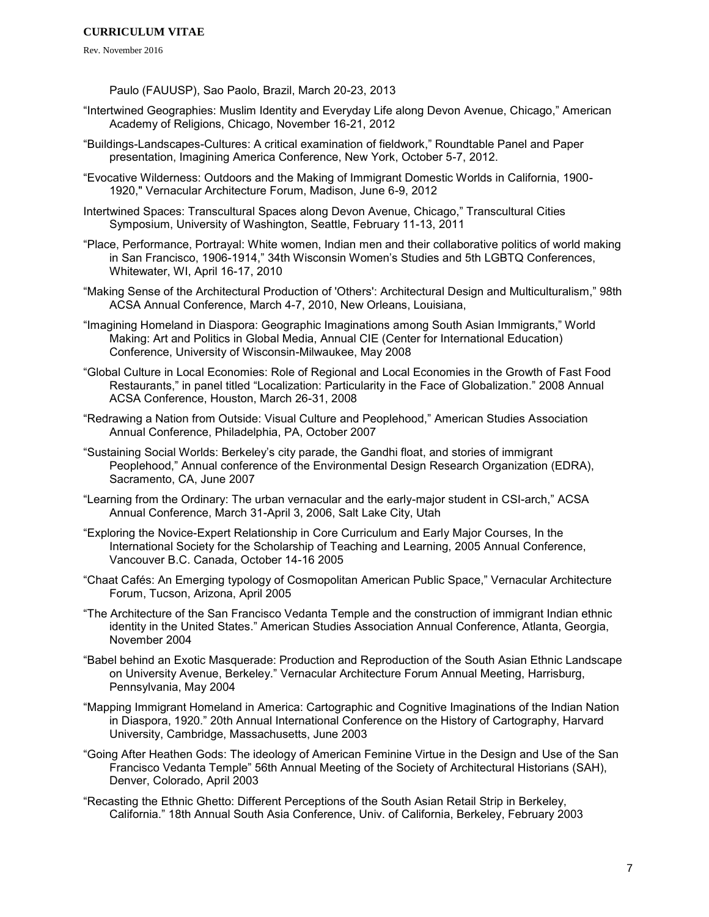Rev. November 2016

Paulo (FAUUSP), Sao Paolo, Brazil, March 20-23, 2013

- "Intertwined Geographies: Muslim Identity and Everyday Life along Devon Avenue, Chicago," American Academy of Religions, Chicago, November 16-21, 2012
- "Buildings-Landscapes-Cultures: A critical examination of fieldwork," Roundtable Panel and Paper presentation, Imagining America Conference, New York, October 5-7, 2012.
- "Evocative Wilderness: Outdoors and the Making of Immigrant Domestic Worlds in California, 1900- 1920," Vernacular Architecture Forum, Madison, June 6-9, 2012
- Intertwined Spaces: Transcultural Spaces along Devon Avenue, Chicago," Transcultural Cities Symposium, University of Washington, Seattle, February 11-13, 2011
- "Place, Performance, Portrayal: White women, Indian men and their collaborative politics of world making in San Francisco, 1906-1914," 34th Wisconsin Women's Studies and 5th LGBTQ Conferences, Whitewater, WI, April 16-17, 2010
- "Making Sense of the Architectural Production of 'Others': Architectural Design and Multiculturalism," 98th ACSA Annual Conference, March 4-7, 2010, New Orleans, Louisiana,
- "Imagining Homeland in Diaspora: Geographic Imaginations among South Asian Immigrants," World Making: Art and Politics in Global Media, Annual CIE (Center for International Education) Conference, University of Wisconsin-Milwaukee, May 2008
- "Global Culture in Local Economies: Role of Regional and Local Economies in the Growth of Fast Food Restaurants," in panel titled "Localization: Particularity in the Face of Globalization." 2008 Annual ACSA Conference, Houston, March 26-31, 2008
- "Redrawing a Nation from Outside: Visual Culture and Peoplehood," American Studies Association Annual Conference, Philadelphia, PA, October 2007
- "Sustaining Social Worlds: Berkeley's city parade, the Gandhi float, and stories of immigrant Peoplehood," Annual conference of the Environmental Design Research Organization (EDRA), Sacramento, CA, June 2007
- "Learning from the Ordinary: The urban vernacular and the early-major student in CSI-arch," ACSA Annual Conference, March 31-April 3, 2006, Salt Lake City, Utah
- "Exploring the Novice-Expert Relationship in Core Curriculum and Early Major Courses, In the International Society for the Scholarship of Teaching and Learning, 2005 Annual Conference, Vancouver B.C. Canada, October 14-16 2005
- "Chaat Cafés: An Emerging typology of Cosmopolitan American Public Space," Vernacular Architecture Forum, Tucson, Arizona, April 2005
- "The Architecture of the San Francisco Vedanta Temple and the construction of immigrant Indian ethnic identity in the United States." American Studies Association Annual Conference, Atlanta, Georgia, November 2004
- "Babel behind an Exotic Masquerade: Production and Reproduction of the South Asian Ethnic Landscape on University Avenue, Berkeley." Vernacular Architecture Forum Annual Meeting, Harrisburg, Pennsylvania, May 2004
- "Mapping Immigrant Homeland in America: Cartographic and Cognitive Imaginations of the Indian Nation in Diaspora, 1920." 20th Annual International Conference on the History of Cartography, Harvard University, Cambridge, Massachusetts, June 2003
- "Going After Heathen Gods: The ideology of American Feminine Virtue in the Design and Use of the San Francisco Vedanta Temple" 56th Annual Meeting of the Society of Architectural Historians (SAH), Denver, Colorado, April 2003
- "Recasting the Ethnic Ghetto: Different Perceptions of the South Asian Retail Strip in Berkeley, California." 18th Annual South Asia Conference, Univ. of California, Berkeley, February 2003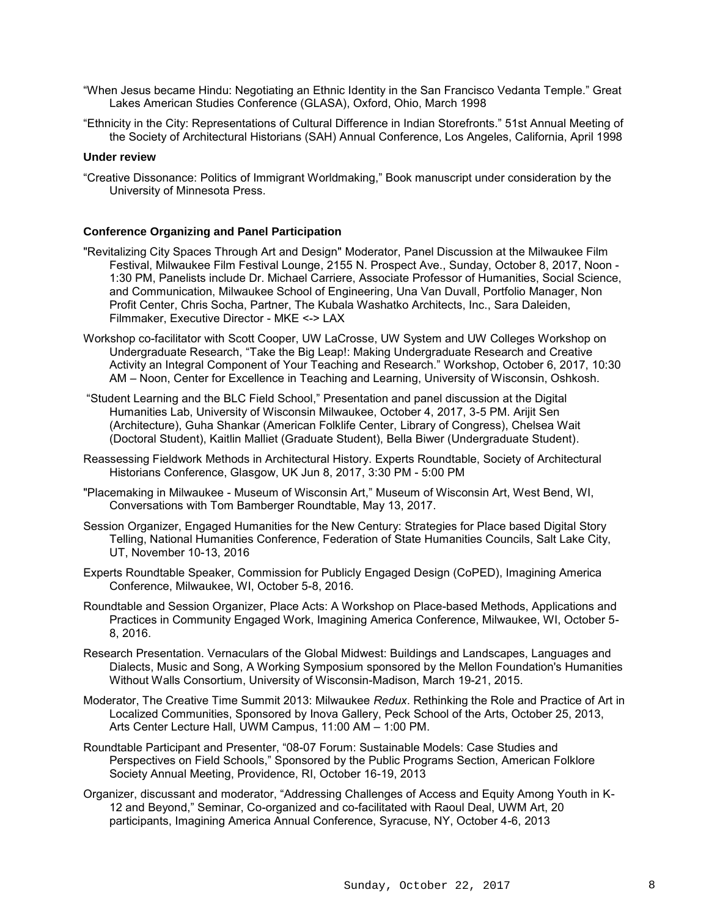- "When Jesus became Hindu: Negotiating an Ethnic Identity in the San Francisco Vedanta Temple." Great Lakes American Studies Conference (GLASA), Oxford, Ohio, March 1998
- "Ethnicity in the City: Representations of Cultural Difference in Indian Storefronts." 51st Annual Meeting of the Society of Architectural Historians (SAH) Annual Conference, Los Angeles, California, April 1998

## **Under review**

"Creative Dissonance: Politics of Immigrant Worldmaking," Book manuscript under consideration by the University of Minnesota Press.

#### **Conference Organizing and Panel Participation**

- "Revitalizing City Spaces Through Art and Design" Moderator, Panel Discussion at the Milwaukee Film Festival, Milwaukee Film Festival Lounge, 2155 N. Prospect Ave., Sunday, October 8, 2017, Noon - 1:30 PM, Panelists include Dr. Michael Carriere, Associate Professor of Humanities, Social Science, and Communication, Milwaukee School of Engineering, Una Van Duvall, Portfolio Manager, Non Profit Center, Chris Socha, Partner, The Kubala Washatko Architects, Inc., Sara Daleiden, Filmmaker, Executive Director - MKE <-> LAX
- Workshop co-facilitator with Scott Cooper, UW LaCrosse, UW System and UW Colleges Workshop on Undergraduate Research, "Take the Big Leap!: Making Undergraduate Research and Creative Activity an Integral Component of Your Teaching and Research." Workshop, October 6, 2017, 10:30 AM – Noon, Center for Excellence in Teaching and Learning, University of Wisconsin, Oshkosh.
- "Student Learning and the BLC Field School," Presentation and panel discussion at the Digital Humanities Lab, University of Wisconsin Milwaukee, October 4, 2017, 3-5 PM. Arijit Sen (Architecture), Guha Shankar (American Folklife Center, Library of Congress), Chelsea Wait (Doctoral Student), Kaitlin Malliet (Graduate Student), Bella Biwer (Undergraduate Student).
- Reassessing Fieldwork Methods in Architectural History. Experts Roundtable, Society of Architectural Historians Conference, Glasgow, UK Jun 8, 2017, 3:30 PM - 5:00 PM
- "Placemaking in Milwaukee Museum of Wisconsin Art," Museum of Wisconsin Art, West Bend, WI, Conversations with Tom Bamberger Roundtable, May 13, 2017.
- Session Organizer, Engaged Humanities for the New Century: Strategies for Place based Digital Story Telling, National Humanities Conference, Federation of State Humanities Councils, Salt Lake City, UT, November 10-13, 2016
- Experts Roundtable Speaker, Commission for Publicly Engaged Design (CoPED), Imagining America Conference, Milwaukee, WI, October 5-8, 2016.
- Roundtable and Session Organizer, Place Acts: A Workshop on Place-based Methods, Applications and Practices in Community Engaged Work, Imagining America Conference, Milwaukee, WI, October 5- 8, 2016.
- Research Presentation. Vernaculars of the Global Midwest: Buildings and Landscapes, Languages and Dialects, Music and Song, A Working Symposium sponsored by the Mellon Foundation's Humanities Without Walls Consortium, University of Wisconsin-Madison, March 19-21, 2015.
- Moderator, The Creative Time Summit 2013: Milwaukee *Redux*. Rethinking the Role and Practice of Art in Localized Communities, Sponsored by Inova Gallery, Peck School of the Arts, October 25, 2013, Arts Center Lecture Hall, UWM Campus, 11:00 AM – 1:00 PM.
- Roundtable Participant and Presenter, "08-07 Forum: Sustainable Models: Case Studies and Perspectives on Field Schools," Sponsored by the Public Programs Section, American Folklore Society Annual Meeting, Providence, RI, October 16-19, 2013
- Organizer, discussant and moderator, "Addressing Challenges of Access and Equity Among Youth in K-12 and Beyond," Seminar, Co-organized and co-facilitated with Raoul Deal, UWM Art, 20 participants, Imagining America Annual Conference, Syracuse, NY, October 4-6, 2013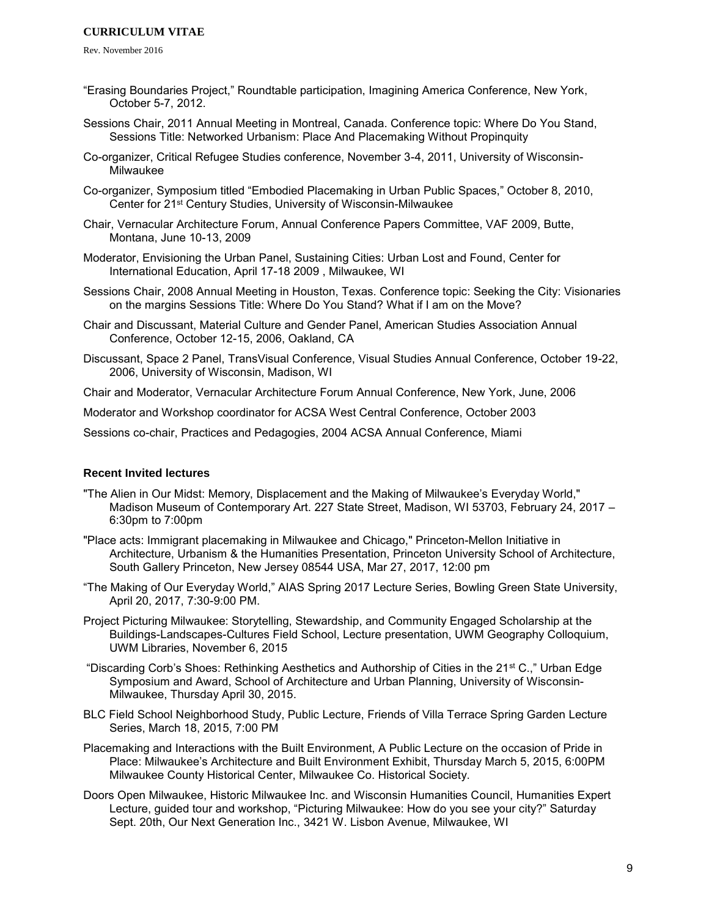Rev. November 2016

- "Erasing Boundaries Project," Roundtable participation, Imagining America Conference, New York, October 5-7, 2012.
- Sessions Chair, 2011 Annual Meeting in Montreal, Canada. Conference topic: Where Do You Stand, Sessions Title: Networked Urbanism: Place And Placemaking Without Propinquity
- Co-organizer, Critical Refugee Studies conference, November 3-4, 2011, University of Wisconsin-Milwaukee
- Co-organizer, Symposium titled "Embodied Placemaking in Urban Public Spaces," October 8, 2010, Center for 21st Century Studies, University of Wisconsin-Milwaukee
- Chair, Vernacular Architecture Forum, Annual Conference Papers Committee, VAF 2009, Butte, Montana, June 10-13, 2009
- Moderator, Envisioning the Urban Panel, Sustaining Cities: Urban Lost and Found, Center for International Education, April 17-18 2009 , Milwaukee, WI
- Sessions Chair, 2008 Annual Meeting in Houston, Texas. Conference topic: Seeking the City: Visionaries on the margins Sessions Title: Where Do You Stand? What if I am on the Move?
- Chair and Discussant, Material Culture and Gender Panel, American Studies Association Annual Conference, October 12-15, 2006, Oakland, CA
- Discussant, Space 2 Panel, TransVisual Conference, Visual Studies Annual Conference, October 19-22, 2006, University of Wisconsin, Madison, WI

Chair and Moderator, Vernacular Architecture Forum Annual Conference, New York, June, 2006

Moderator and Workshop coordinator for ACSA West Central Conference, October 2003

Sessions co-chair, Practices and Pedagogies, 2004 ACSA Annual Conference, Miami

## **Recent Invited lectures**

- "The Alien in Our Midst: Memory, Displacement and the Making of Milwaukee's Everyday World," Madison Museum of Contemporary Art. 227 State Street, Madison, WI 53703, February 24, 2017 – 6:30pm to 7:00pm
- "Place acts: Immigrant placemaking in Milwaukee and Chicago," Princeton-Mellon Initiative in Architecture, Urbanism & the Humanities Presentation, Princeton University School of Architecture, South Gallery Princeton, New Jersey 08544 USA, Mar 27, 2017, 12:00 pm
- "The Making of Our Everyday World," AIAS Spring 2017 Lecture Series, Bowling Green State University, April 20, 2017, 7:30-9:00 PM.
- Project Picturing Milwaukee: Storytelling, Stewardship, and Community Engaged Scholarship at the Buildings-Landscapes-Cultures Field School, Lecture presentation, UWM Geography Colloquium, UWM Libraries, November 6, 2015
- "Discarding Corb's Shoes: Rethinking Aesthetics and Authorship of Cities in the 21st C.," Urban Edge Symposium and Award, School of Architecture and Urban Planning, University of Wisconsin-Milwaukee, Thursday April 30, 2015.
- BLC Field School Neighborhood Study, Public Lecture, Friends of Villa Terrace Spring Garden Lecture Series, March 18, 2015, 7:00 PM
- Placemaking and Interactions with the Built Environment, A Public Lecture on the occasion of Pride in Place: Milwaukee's Architecture and Built Environment Exhibit, Thursday March 5, 2015, 6:00PM Milwaukee County Historical Center, Milwaukee Co. Historical Society.
- Doors Open Milwaukee, Historic Milwaukee Inc. and Wisconsin Humanities Council, Humanities Expert Lecture, guided tour and workshop, "Picturing Milwaukee: How do you see your city?" Saturday Sept. 20th, Our Next Generation Inc., 3421 W. Lisbon Avenue, Milwaukee, WI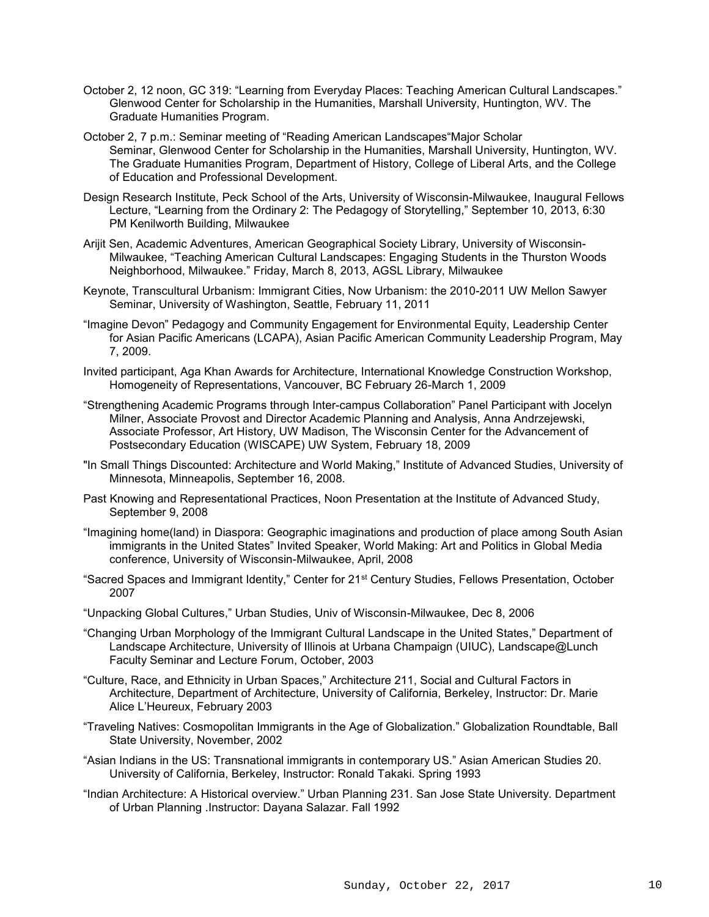- October 2, 12 noon, GC 319: "Learning from Everyday Places: Teaching American Cultural Landscapes." Glenwood Center for Scholarship in the Humanities, Marshall University, Huntington, WV. The Graduate Humanities Program.
- October 2, 7 p.m.: Seminar meeting of "Reading American Landscapes"Major Scholar Seminar, Glenwood Center for Scholarship in the Humanities, Marshall University, Huntington, WV. The Graduate Humanities Program, Department of History, College of Liberal Arts, and the College of Education and Professional Development.
- Design Research Institute, Peck School of the Arts, University of Wisconsin-Milwaukee, Inaugural Fellows Lecture, "Learning from the Ordinary 2: The Pedagogy of Storytelling," September 10, 2013, 6:30 PM Kenilworth Building, Milwaukee
- Arijit Sen, Academic Adventures, American Geographical Society Library, University of Wisconsin-Milwaukee, "Teaching American Cultural Landscapes: Engaging Students in the Thurston Woods Neighborhood, Milwaukee." Friday, March 8, 2013, AGSL Library, Milwaukee
- Keynote, Transcultural Urbanism: Immigrant Cities, Now Urbanism: the 2010-2011 UW Mellon Sawyer Seminar, University of Washington, Seattle, February 11, 2011
- "Imagine Devon" Pedagogy and Community Engagement for Environmental Equity, Leadership Center for Asian Pacific Americans (LCAPA), Asian Pacific American Community Leadership Program, May 7, 2009.
- Invited participant, Aga Khan Awards for Architecture, International Knowledge Construction Workshop, Homogeneity of Representations, Vancouver, BC February 26-March 1, 2009
- "Strengthening Academic Programs through Inter-campus Collaboration" Panel Participant with Jocelyn Milner, Associate Provost and Director Academic Planning and Analysis, Anna Andrzejewski, Associate Professor, Art History, UW Madison, The Wisconsin Center for the Advancement of Postsecondary Education (WISCAPE) UW System, February 18, 2009
- "In Small Things Discounted: Architecture and World Making," Institute of Advanced Studies, University of Minnesota, Minneapolis, September 16, 2008.
- Past Knowing and Representational Practices, Noon Presentation at the Institute of Advanced Study, September 9, 2008
- "Imagining home(land) in Diaspora: Geographic imaginations and production of place among South Asian immigrants in the United States" Invited Speaker, World Making: Art and Politics in Global Media conference, University of Wisconsin-Milwaukee, April, 2008
- "Sacred Spaces and Immigrant Identity," Center for 21st Century Studies, Fellows Presentation, October 2007
- "Unpacking Global Cultures," Urban Studies, Univ of Wisconsin-Milwaukee, Dec 8, 2006
- "Changing Urban Morphology of the Immigrant Cultural Landscape in the United States," Department of Landscape Architecture, University of Illinois at Urbana Champaign (UIUC), Landscape@Lunch Faculty Seminar and Lecture Forum, October, 2003
- "Culture, Race, and Ethnicity in Urban Spaces," Architecture 211, Social and Cultural Factors in Architecture, Department of Architecture, University of California, Berkeley, Instructor: Dr. Marie Alice L'Heureux, February 2003
- "Traveling Natives: Cosmopolitan Immigrants in the Age of Globalization." Globalization Roundtable, Ball State University, November, 2002
- "Asian Indians in the US: Transnational immigrants in contemporary US." Asian American Studies 20. University of California, Berkeley, Instructor: Ronald Takaki. Spring 1993
- "Indian Architecture: A Historical overview." Urban Planning 231. San Jose State University. Department of Urban Planning .Instructor: Dayana Salazar. Fall 1992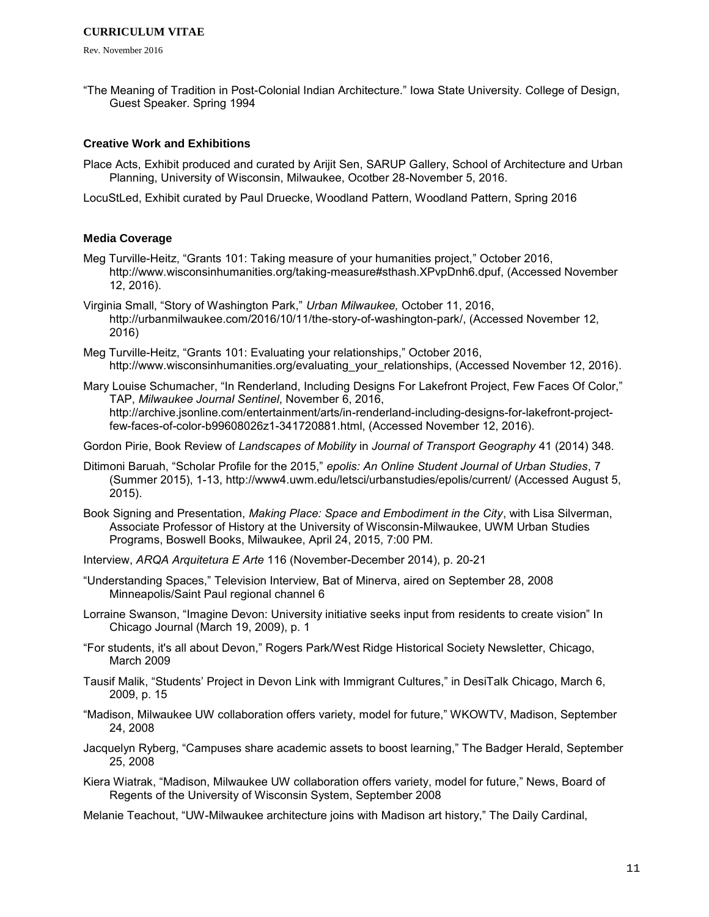Rev. November 2016

"The Meaning of Tradition in Post-Colonial Indian Architecture." Iowa State University. College of Design, Guest Speaker. Spring 1994

## **Creative Work and Exhibitions**

- Place Acts, Exhibit produced and curated by Arijit Sen, SARUP Gallery, School of Architecture and Urban Planning, University of Wisconsin, Milwaukee, Ocotber 28-November 5, 2016.
- LocuStLed, Exhibit curated by Paul Druecke, Woodland Pattern, Woodland Pattern, Spring 2016

## **Media Coverage**

- Meg Turville-Heitz, "Grants 101: Taking measure of your humanities project," October 2016, http://www.wisconsinhumanities.org/taking-measure#sthash.XPvpDnh6.dpuf, (Accessed November 12, 2016).
- Virginia Small, "Story of Washington Park," *Urban Milwaukee,* October 11, 2016, http://urbanmilwaukee.com/2016/10/11/the-story-of-washington-park/, (Accessed November 12, 2016)
- Meg Turville-Heitz, "Grants 101: Evaluating your relationships," October 2016, http://www.wisconsinhumanities.org/evaluating\_your\_relationships, (Accessed November 12, 2016).
- Mary Louise Schumacher, "In Renderland, Including Designs For Lakefront Project, Few Faces Of Color," TAP, *Milwaukee Journal Sentinel*, November 6, 2016, http://archive.jsonline.com/entertainment/arts/in-renderland-including-designs-for-lakefront-projectfew-faces-of-color-b99608026z1-341720881.html, (Accessed November 12, 2016).

Gordon Pirie, Book Review of *Landscapes of Mobility* in *Journal of Transport Geography* 41 (2014) 348.

- Ditimoni Baruah, "Scholar Profile for the 2015," *epolis: An Online Student Journal of Urban Studies*, 7 (Summer 2015), 1-13, http://www4.uwm.edu/letsci/urbanstudies/epolis/current/ (Accessed August 5, 2015).
- Book Signing and Presentation, *Making Place: Space and Embodiment in the City*, with Lisa Silverman, Associate Professor of History at the University of Wisconsin-Milwaukee, UWM Urban Studies Programs, Boswell Books, Milwaukee, April 24, 2015, 7:00 PM.
- Interview, *ARQA Arquitetura E Arte* 116 (November-December 2014), p. 20-21
- "Understanding Spaces," Television Interview, Bat of Minerva, aired on September 28, 2008 Minneapolis/Saint Paul regional channel 6
- Lorraine Swanson, "Imagine Devon: University initiative seeks input from residents to create vision" In Chicago Journal (March 19, 2009), p. 1
- "For students, it's all about Devon," Rogers Park/West Ridge Historical Society Newsletter, Chicago, March 2009
- Tausif Malik, "Students' Project in Devon Link with Immigrant Cultures," in DesiTalk Chicago, March 6, 2009, p. 15
- "Madison, Milwaukee UW collaboration offers variety, model for future," WKOWTV, Madison, September 24, 2008
- Jacquelyn Ryberg, "Campuses share academic assets to boost learning," The Badger Herald, September 25, 2008
- Kiera Wiatrak, "Madison, Milwaukee UW collaboration offers variety, model for future," News, Board of Regents of the University of Wisconsin System, September 2008

Melanie Teachout, "UW-Milwaukee architecture joins with Madison art history," The Daily Cardinal,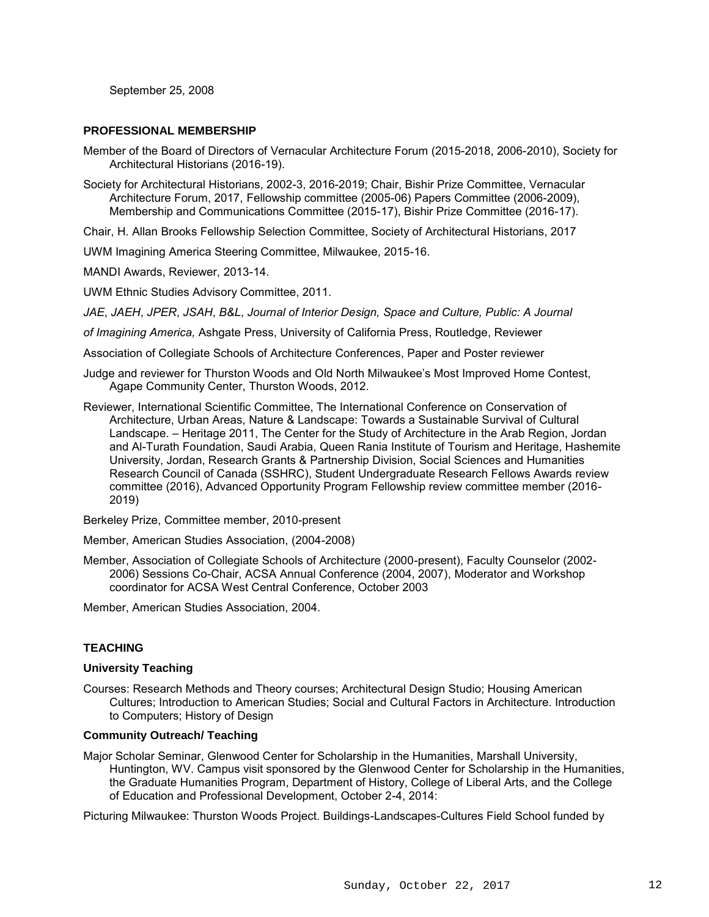September 25, 2008

## **PROFESSIONAL MEMBERSHIP**

- Member of the Board of Directors of Vernacular Architecture Forum (2015-2018, 2006-2010), Society for Architectural Historians (2016-19).
- Society for Architectural Historians, 2002-3, 2016-2019; Chair, Bishir Prize Committee, Vernacular Architecture Forum, 2017, Fellowship committee (2005-06) Papers Committee (2006-2009), Membership and Communications Committee (2015-17), Bishir Prize Committee (2016-17).

Chair, H. Allan Brooks Fellowship Selection Committee, Society of Architectural Historians, 2017

UWM Imagining America Steering Committee, Milwaukee, 2015-16.

MANDI Awards, Reviewer, 2013-14.

UWM Ethnic Studies Advisory Committee, 2011.

*JAE*, *JAEH*, *JPER*, *JSAH*, *B&L*, *Journal of Interior Design, Space and Culture, Public: A Journal*

*of Imagining America,* Ashgate Press, University of California Press, Routledge, Reviewer

Association of Collegiate Schools of Architecture Conferences, Paper and Poster reviewer

Judge and reviewer for Thurston Woods and Old North Milwaukee's Most Improved Home Contest, Agape Community Center, Thurston Woods, 2012.

Reviewer, International Scientific Committee, The International Conference on Conservation of Architecture, Urban Areas, Nature & Landscape: Towards a Sustainable Survival of Cultural Landscape. – Heritage 2011, The Center for the Study of Architecture in the Arab Region, Jordan and Al-Turath Foundation, Saudi Arabia, Queen Rania Institute of Tourism and Heritage, Hashemite University, Jordan, Research Grants & Partnership Division, Social Sciences and Humanities Research Council of Canada (SSHRC), Student Undergraduate Research Fellows Awards review committee (2016), Advanced Opportunity Program Fellowship review committee member (2016- 2019)

Berkeley Prize, Committee member, 2010-present

Member, American Studies Association, (2004-2008)

Member, Association of Collegiate Schools of Architecture (2000-present), Faculty Counselor (2002- 2006) Sessions Co-Chair, ACSA Annual Conference (2004, 2007), Moderator and Workshop coordinator for ACSA West Central Conference, October 2003

Member, American Studies Association, 2004.

## **TEACHING**

## **University Teaching**

Courses: Research Methods and Theory courses; Architectural Design Studio; Housing American Cultures; Introduction to American Studies; Social and Cultural Factors in Architecture. Introduction to Computers; History of Design

#### **Community Outreach/ Teaching**

Major Scholar Seminar, Glenwood Center for Scholarship in the Humanities, Marshall University, Huntington, WV. Campus visit sponsored by the Glenwood Center for Scholarship in the Humanities, the Graduate Humanities Program, Department of History, College of Liberal Arts, and the College of Education and Professional Development, October 2-4, 2014:

Picturing Milwaukee: Thurston Woods Project. Buildings-Landscapes-Cultures Field School funded by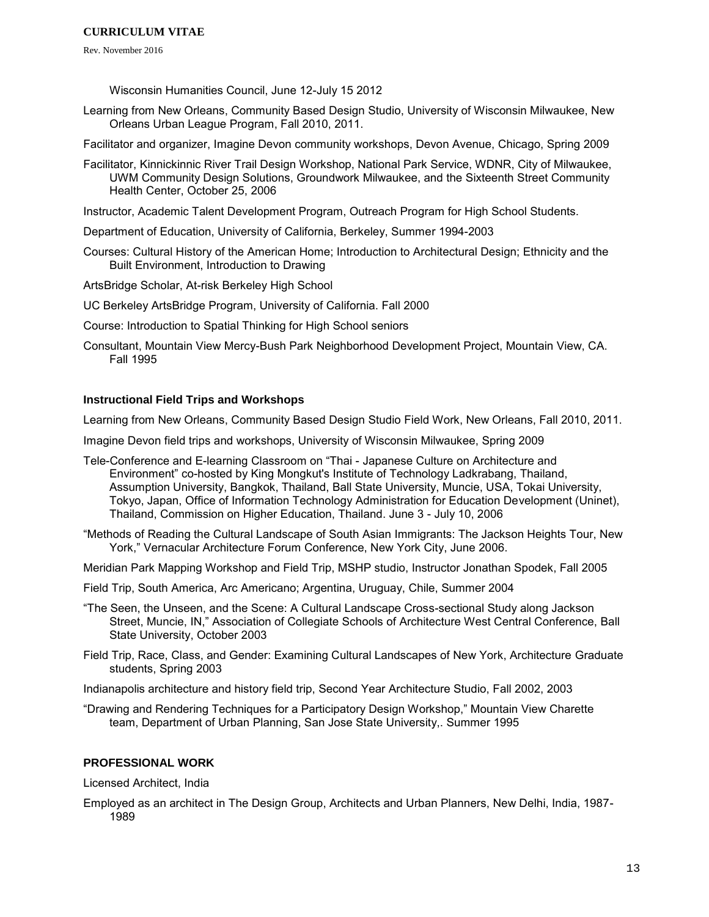Rev. November 2016

Wisconsin Humanities Council, June 12-July 15 2012

- Learning from New Orleans, Community Based Design Studio, University of Wisconsin Milwaukee, New Orleans Urban League Program, Fall 2010, 2011.
- Facilitator and organizer, Imagine Devon community workshops, Devon Avenue, Chicago, Spring 2009
- Facilitator, Kinnickinnic River Trail Design Workshop, National Park Service, WDNR, City of Milwaukee, UWM Community Design Solutions, Groundwork Milwaukee, and the Sixteenth Street Community Health Center, October 25, 2006
- Instructor, Academic Talent Development Program, Outreach Program for High School Students.
- Department of Education, University of California, Berkeley, Summer 1994-2003
- Courses: Cultural History of the American Home; Introduction to Architectural Design; Ethnicity and the Built Environment, Introduction to Drawing
- ArtsBridge Scholar, At-risk Berkeley High School
- UC Berkeley ArtsBridge Program, University of California. Fall 2000
- Course: Introduction to Spatial Thinking for High School seniors
- Consultant, Mountain View Mercy-Bush Park Neighborhood Development Project, Mountain View, CA. Fall 1995

## **Instructional Field Trips and Workshops**

Learning from New Orleans, Community Based Design Studio Field Work, New Orleans, Fall 2010, 2011.

Imagine Devon field trips and workshops, University of Wisconsin Milwaukee, Spring 2009

- Tele-Conference and E-learning Classroom on "Thai Japanese Culture on Architecture and Environment" co-hosted by King Mongkut's Institute of Technology Ladkrabang, Thailand, Assumption University, Bangkok, Thailand, Ball State University, Muncie, USA, Tokai University, Tokyo, Japan, Office of Information Technology Administration for Education Development (Uninet), Thailand, Commission on Higher Education, Thailand. June 3 - July 10, 2006
- "Methods of Reading the Cultural Landscape of South Asian Immigrants: The Jackson Heights Tour, New York," Vernacular Architecture Forum Conference, New York City, June 2006.
- Meridian Park Mapping Workshop and Field Trip, MSHP studio, Instructor Jonathan Spodek, Fall 2005
- Field Trip, South America, Arc Americano; Argentina, Uruguay, Chile, Summer 2004
- "The Seen, the Unseen, and the Scene: A Cultural Landscape Cross-sectional Study along Jackson Street, Muncie, IN," Association of Collegiate Schools of Architecture West Central Conference, Ball State University, October 2003
- Field Trip, Race, Class, and Gender: Examining Cultural Landscapes of New York, Architecture Graduate students, Spring 2003

Indianapolis architecture and history field trip, Second Year Architecture Studio, Fall 2002, 2003

"Drawing and Rendering Techniques for a Participatory Design Workshop," Mountain View Charette team, Department of Urban Planning, San Jose State University,. Summer 1995

## **PROFESSIONAL WORK**

Licensed Architect, India

Employed as an architect in The Design Group, Architects and Urban Planners, New Delhi, India, 1987- 1989